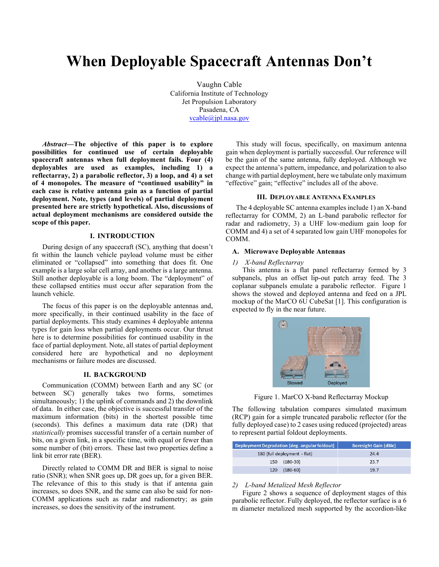# **When Deployable Spacecraft Antennas Don't**

Vaughn Cable California Institute of Technology Jet Propulsion Laboratory Pasadena, CA vcable@jpl.nasa.gov

*Abstract***—The objective of this paper is to explore possibilities for continued use of certain deployable spacecraft antennas when full deployment fails. Four (4) deployables are used as examples, including 1) a reflectarray, 2) a parabolic reflector, 3) a loop, and 4) a set of 4 monopoles. The measure of "continued usability" in each case is relative antenna gain as a function of partial deployment. Note, types (and levels) of partial deployment presented here are strictly hypothetical. Also, discussions of actual deployment mechanisms are considered outside the scope of this paper.**

# **I. INTRODUCTION**

During design of any spacecraft (SC), anything that doesn't fit within the launch vehicle payload volume must be either eliminated or "collapsed" into something that does fit. One example is a large solar cell array, and another is a large antenna. Still another deployable is a long boom. The "deployment" of these collapsed entities must occur after separation from the launch vehicle.

The focus of this paper is on the deployable antennas and, more specifically, in their continued usability in the face of partial deployments. This study examines 4 deployable antenna types for gain loss when partial deployments occur. Our thrust here is to determine possibilities for continued usability in the face of partial deployment. Note, all states of partial deployment considered here are hypothetical and no deployment mechanisms or failure modes are discussed.

#### **II. BACKGROUND**

Communication (COMM) between Earth and any SC (or between SC) generally takes two forms, sometimes simultaneously; 1) the uplink of commands and 2) the downlink of data. In either case, the objective is successful transfer of the maximum information (bits) in the shortest possible time (seconds). This defines a maximum data rate (DR) that *statistically* promises successful transfer of a certain number of bits, on a given link, in a specific time, with equal or fewer than some number of (bit) errors. These last two properties define a link bit error rate (BER).

Directly related to COMM DR and BER is signal to noise ratio (SNR); when SNR goes up, DR goes up, for a given BER. The relevance of this to this study is that if antenna gain increases, so does SNR, and the same can also be said for non-COMM applications such as radar and radiometry; as gain increases, so does the sensitivity of the instrument.

This study will focus, specifically, on maximum antenna gain when deployment is partially successful. Our reference will be the gain of the same antenna, fully deployed. Although we expect the antenna's pattern, impedance, and polarization to also change with partial deployment, here we tabulate only maximum "effective" gain; "effective" includes all of the above.

# **III. DEPLOYABLE ANTENNA EXAMPLES**

The 4 deployable SC antenna examples include 1) an X-band reflectarray for COMM, 2) an L-band parabolic reflector for radar and radiometry, 3) a UHF low-medium gain loop for COMM and 4) a set of 4 separated low gain UHF monopoles for COMM.

# **A. Microwave Deployable Antennas**

#### *1) X-band Reflectarray*

This antenna is a flat panel reflectarray formed by 3 subpanels, plus an offset lip-out patch array feed. The 3 coplanar subpanels emulate a parabolic reflector. Figure 1 shows the stowed and deployed antenna and feed on a JPL mockup of the MarCO 6U CubeSat [1]. This configuration is expected to fly in the near future.



Figure 1. MarCO X-band Reflectarray Mockup

The following tabulation compares simulated maximum (RCP) gain for a simple truncated parabolic reflector (for the fully deployed case) to 2 cases using reduced (projected) areas to represent partial foldout deployments.

| Deployment Degradation (deg. angular foldout) | <b>Boresight Gain (dBic)</b> |
|-----------------------------------------------|------------------------------|
| 180 (full deployment - flat)                  | 24.4                         |
| 150 (180-30)                                  | 23.7                         |
| 120 (180-60)                                  | 197                          |

## *2) L-band Metalized Mesh Reflector*

Figure 2 shows a sequence of deployment stages of this parabolic reflector. Fully deployed, the reflector surface is a 6 m diameter metalized mesh supported by the accordion-like